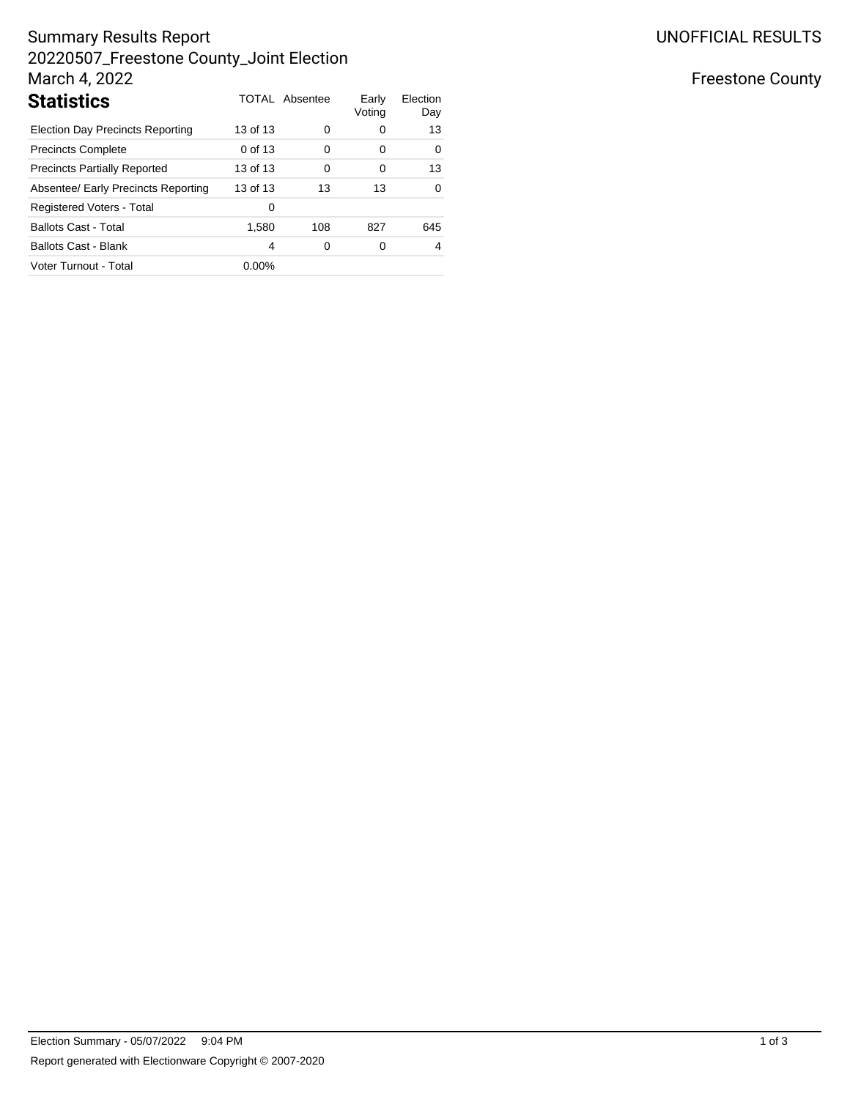# Summary Results Report 20220507\_Freestone County\_Joint Election March 4, 2022

| <b>Statistics</b>                       |          | <b>TOTAL Absentee</b> | Early<br>Voting | Election<br>Day |
|-----------------------------------------|----------|-----------------------|-----------------|-----------------|
| <b>Election Day Precincts Reporting</b> | 13 of 13 | 0                     | 0               | 13              |
| <b>Precincts Complete</b>               | 0 of 13  | $\Omega$              | 0               | 0               |
| <b>Precincts Partially Reported</b>     | 13 of 13 | $\Omega$              | 0               | 13              |
| Absentee/ Early Precincts Reporting     | 13 of 13 | 13                    | 13              | $\Omega$        |
| Registered Voters - Total               | 0        |                       |                 |                 |
| <b>Ballots Cast - Total</b>             | 1,580    | 108                   | 827             | 645             |
| <b>Ballots Cast - Blank</b>             | 4        | 0                     | 0               | 4               |
| Voter Turnout - Total                   | $0.00\%$ |                       |                 |                 |

## Freestone County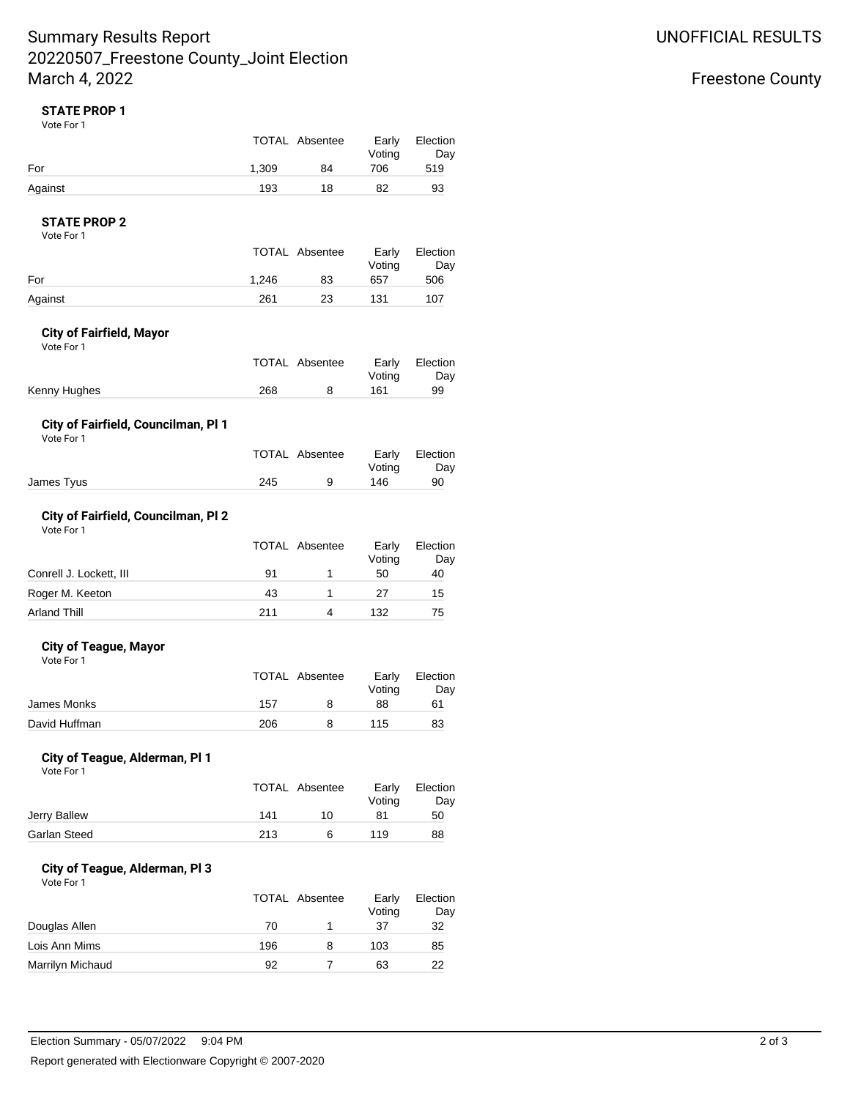## Summary Results Report 20220507\_Freestone County\_Joint Election March 4, 2022

### **STATE PROP 1**

Vote For 1

|         | TOTAL Absentee |    | Early<br>Voting | Election<br>Day |
|---------|----------------|----|-----------------|-----------------|
| For     | 1.309          | 84 | 706             | 519             |
| Against | 193            | 18 | 82              | 93              |

### **STATE PROP 2**

Vote For 1

|         | TOTAL Absentee |    | Early<br>Voting | Election<br>Day |
|---------|----------------|----|-----------------|-----------------|
| For     | 1.246          | 83 | 657             | 506             |
| Against | 261            | 23 | 131             | 107             |

#### **City of Fairfield, Mayor**

Vote For 1

|              |     | TOTAL Absentee |        | Early Election |
|--------------|-----|----------------|--------|----------------|
|              |     |                | Votina | Day            |
| Kenny Hughes | 268 |                | 161    | 99             |

### **City of Fairfield, Councilman, Pl 1**

Vote For 1

|            |     | TOTAL Absentee | Votina | Early Election<br>Dav |
|------------|-----|----------------|--------|-----------------------|
| James Tyus | 245 |                | 146    | 90                    |
|            |     |                |        |                       |

### **City of Fairfield, Councilman, Pl 2**

Vote For 1

|                         | <b>TOTAL Absentee</b> | Early<br>Voting | Election<br>Day |
|-------------------------|-----------------------|-----------------|-----------------|
| Conrell J. Lockett, III | 91                    | 50              | 40              |
| Roger M. Keeton         | 43                    | 27              | 15              |
| <b>Arland Thill</b>     | 211                   | 132             | 75              |

#### **City of Teague, Mayor** Vote For 1

|               |     | TOTAL Absentee | Early<br>Voting | Election<br>Day |
|---------------|-----|----------------|-----------------|-----------------|
| James Monks   | 157 | 8              | 88              | 61              |
| David Huffman | 206 |                | 115             | 83              |

#### **City of Teague, Alderman, Pl 1** Vote For 1

|     |    | Early<br>Voting | Election<br>Day |
|-----|----|-----------------|-----------------|
| 141 | 10 | 81              | 50              |
| 213 | 6  | 119             | 88              |
|     |    | TOTAL Absentee  |                 |

#### **City of Teague, Alderman, Pl 3** Vote For 1

|                  | TOTAL Absentee |   | Early<br>Voting | Election<br>Day |
|------------------|----------------|---|-----------------|-----------------|
| Douglas Allen    | 70             |   | 37              | 32              |
| Lois Ann Mims    | 196            | 8 | 103             | 85              |
| Marrilyn Michaud | 92             |   | 63              | 22              |

## Freestone County